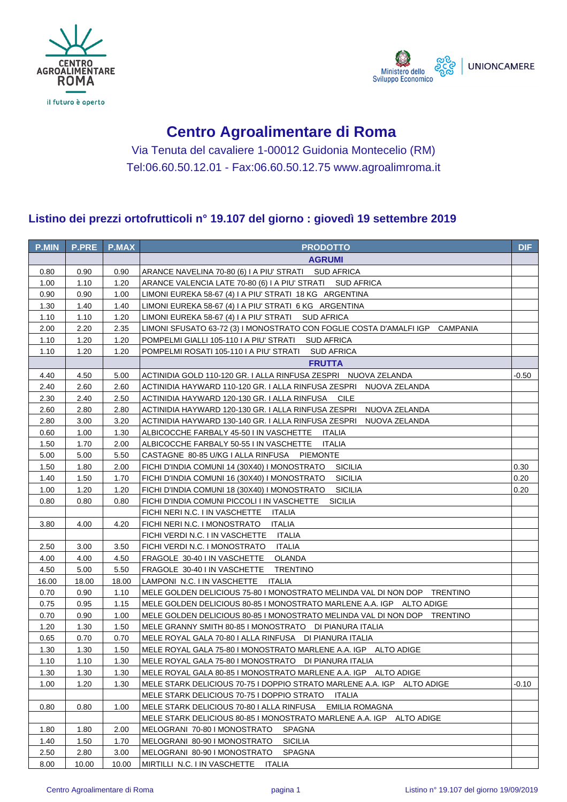



## **Centro Agroalimentare di Roma**

Via Tenuta del cavaliere 1-00012 Guidonia Montecelio (RM) Tel:06.60.50.12.01 - Fax:06.60.50.12.75 www.agroalimroma.it

## **Listino dei prezzi ortofrutticoli n° 19.107 del giorno : giovedì 19 settembre 2019**

| <b>P.MIN</b> | <b>P.PRE</b> | <b>P.MAX</b> | <b>PRODOTTO</b>                                                              | <b>DIF</b> |
|--------------|--------------|--------------|------------------------------------------------------------------------------|------------|
|              |              |              | <b>AGRUMI</b>                                                                |            |
| 0.80         | 0.90         | 0.90         | ARANCE NAVELINA 70-80 (6) I A PIU' STRATI SUD AFRICA                         |            |
| 1.00         | 1.10         | 1.20         | ARANCE VALENCIA LATE 70-80 (6) I A PIU' STRATI     SUD AFRICA                |            |
| 0.90         | 0.90         | 1.00         | LIMONI EUREKA 58-67 (4) I A PIU' STRATI 18 KG ARGENTINA                      |            |
| 1.30         | 1.40         | 1.40         | LIMONI EUREKA 58-67 (4) I A PIU' STRATI 6 KG ARGENTINA                       |            |
| 1.10         | 1.10         | 1.20         | LIMONI EUREKA 58-67 (4) I A PIU' STRATI SUD AFRICA                           |            |
| 2.00         | 2.20         | 2.35         | LIMONI SFUSATO 63-72 (3) I MONOSTRATO CON FOGLIE COSTA D'AMALFI IGP CAMPANIA |            |
| 1.10         | 1.20         | 1.20         | POMPELMI GIALLI 105-110 I A PIU' STRATI SUD AFRICA                           |            |
| 1.10         | 1.20         | 1.20         | POMPELMI ROSATI 105-110 I A PIU' STRATI SUD AFRICA                           |            |
|              |              |              | <b>FRUTTA</b>                                                                |            |
| 4.40         | 4.50         | 5.00         | ACTINIDIA GOLD 110-120 GR. I ALLA RINFUSA ZESPRI NUOVA ZELANDA               | -0.50      |
| 2.40         | 2.60         | 2.60         | ACTINIDIA HAYWARD 110-120 GR. I ALLA RINFUSA ZESPRI NUOVA ZELANDA            |            |
| 2.30         | 2.40         | 2.50         | ACTINIDIA HAYWARD 120-130 GR. I ALLA RINFUSA CILE                            |            |
| 2.60         | 2.80         | 2.80         | ACTINIDIA HAYWARD 120-130 GR. I ALLA RINFUSA ZESPRI NUOVA ZELANDA            |            |
| 2.80         | 3.00         | 3.20         | ACTINIDIA HAYWARD 130-140 GR. I ALLA RINFUSA ZESPRI NUOVA ZELANDA            |            |
| 0.60         | 1.00         | 1.30         | ALBICOCCHE FARBALY 45-50 I IN VASCHETTE ITALIA                               |            |
| 1.50         | 1.70         | 2.00         | ALBICOCCHE FARBALY 50-55 I IN VASCHETTE<br>ITALIA                            |            |
| 5.00         | 5.00         | 5.50         | CASTAGNE 80-85 U/KG I ALLA RINFUSA<br>PIEMONTE                               |            |
| 1.50         | 1.80         | 2.00         | FICHI D'INDIA COMUNI 14 (30X40) I MONOSTRATO SICILIA                         | 0.30       |
| 1.40         | 1.50         | 1.70         | FICHI D'INDIA COMUNI 16 (30X40) I MONOSTRATO<br>SICILIA                      | 0.20       |
| 1.00         | 1.20         | 1.20         | FICHI D'INDIA COMUNI 18 (30X40) I MONOSTRATO<br>SICILIA                      | 0.20       |
| 0.80         | 0.80         | 0.80         | FICHI D'INDIA COMUNI PICCOLI I IN VASCHETTE<br><b>SICILIA</b>                |            |
|              |              |              | FICHI NERI N.C. I IN VASCHETTE<br>ITALIA                                     |            |
| 3.80         | 4.00         | 4.20         | FICHI NERI N.C. I MONOSTRATO<br><b>ITALIA</b>                                |            |
|              |              |              | FICHI VERDI N.C. I IN VASCHETTE<br>ITALIA                                    |            |
| 2.50         | 3.00         | 3.50         | FICHI VERDI N.C. I MONOSTRATO<br><b>ITALIA</b>                               |            |
| 4.00         | 4.00         | 4.50         | FRAGOLE 30-40 I IN VASCHETTE<br>OLANDA                                       |            |
| 4.50         | 5.00         | 5.50         | FRAGOLE 30-40 I IN VASCHETTE<br><b>TRENTINO</b>                              |            |
| 16.00        | 18.00        | 18.00        | LAMPONI N.C. I IN VASCHETTE ITALIA                                           |            |
| 0.70         | 0.90         | 1.10         | MELE GOLDEN DELICIOUS 75-80 I MONOSTRATO MELINDA VAL DI NON DOP TRENTINO     |            |
| 0.75         | 0.95         | 1.15         | MELE GOLDEN DELICIOUS 80-85 I MONOSTRATO MARLENE A.A. IGP ALTO ADIGE         |            |
| 0.70         | 0.90         | 1.00         | MELE GOLDEN DELICIOUS 80-85 I MONOSTRATO MELINDA VAL DI NON DOP TRENTINO     |            |
| 1.20         | 1.30         | 1.50         | MELE GRANNY SMITH 80-85 I MONOSTRATO DI PIANURA ITALIA                       |            |
| 0.65         | 0.70         | 0.70         | MELE ROYAL GALA 70-80 I ALLA RINFUSA DI PIANURA ITALIA                       |            |
| 1.30         | 1.30         | 1.50         | MELE ROYAL GALA 75-80 I MONOSTRATO MARLENE A.A. IGP ALTO ADIGE               |            |
| 1.10         | 1.10         | 1.30         | MELE ROYAL GALA 75-80 I MONOSTRATO DI PIANURA ITALIA                         |            |
| 1.30         | 1.30         | 1.30         | MELE ROYAL GALA 80-85 I MONOSTRATO MARLENE A.A. IGP ALTO ADIGE               |            |
| 1.00         | 1.20         | 1.30         | MELE STARK DELICIOUS 70-75 I DOPPIO STRATO MARLENE A.A. IGP     ALTO ADIGE   | -0.10      |
|              |              |              | MELE STARK DELICIOUS 70-75 I DOPPIO STRATO<br>ITALIA                         |            |
| 0.80         | 0.80         | 1.00         | MELE STARK DELICIOUS 70-80 I ALLA RINFUSA<br>EMILIA ROMAGNA                  |            |
|              |              |              | MELE STARK DELICIOUS 80-85 I MONOSTRATO MARLENE A.A. IGP ALTO ADIGE          |            |
| 1.80         | 1.80         | 2.00         | MELOGRANI 70-80 I MONOSTRATO<br>SPAGNA                                       |            |
| 1.40         | 1.50         | 1.70         | MELOGRANI 80-90 I MONOSTRATO<br><b>SICILIA</b>                               |            |
| 2.50         | 2.80         | 3.00         | MELOGRANI 80-90 I MONOSTRATO<br><b>SPAGNA</b>                                |            |
| 8.00         | 10.00        | 10.00        | MIRTILLI N.C. I IN VASCHETTE ITALIA                                          |            |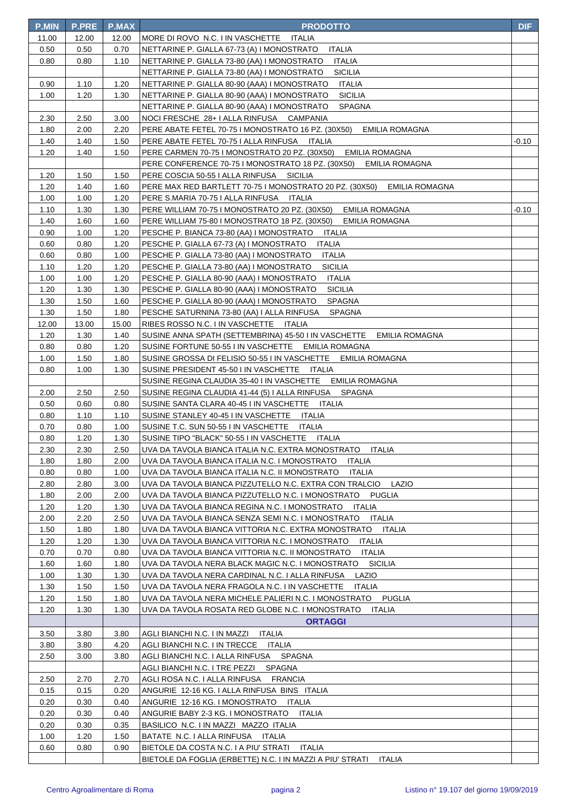| <b>P.MIN</b> | <b>P.PRE</b> | <b>P.MAX</b> | <b>PRODOTTO</b>                                                                                                    | <b>DIF</b> |
|--------------|--------------|--------------|--------------------------------------------------------------------------------------------------------------------|------------|
| 11.00        | 12.00        | 12.00        | MORE DI ROVO N.C. I IN VASCHETTE<br>ITALIA                                                                         |            |
| 0.50         | 0.50         | 0.70         | ITALIA<br>NETTARINE P. GIALLA 67-73 (A) I MONOSTRATO                                                               |            |
| 0.80         | 0.80         | 1.10         | NETTARINE P. GIALLA 73-80 (AA) I MONOSTRATO<br>ITALIA                                                              |            |
|              |              |              | NETTARINE P. GIALLA 73-80 (AA) I MONOSTRATO<br><b>SICILIA</b>                                                      |            |
| 0.90         | 1.10         | 1.20         | NETTARINE P. GIALLA 80-90 (AAA) I MONOSTRATO<br>ITALIA                                                             |            |
| 1.00         | 1.20         | 1.30         | NETTARINE P. GIALLA 80-90 (AAA) I MONOSTRATO<br><b>SICILIA</b>                                                     |            |
|              |              |              | NETTARINE P. GIALLA 80-90 (AAA) I MONOSTRATO<br>SPAGNA                                                             |            |
| 2.30         | 2.50         | 3.00         | NOCI FRESCHE 28+ I ALLA RINFUSA CAMPANIA                                                                           |            |
| 1.80         | 2.00         | 2.20         | PERE ABATE FETEL 70-75 I MONOSTRATO 16 PZ. (30X50)<br>EMILIA ROMAGNA                                               |            |
| 1.40         | 1.40         | 1.50         | PERE ABATE FETEL 70-75   ALLA RINFUSA ITALIA                                                                       | -0.10      |
| 1.20         | 1.40         | 1.50         | PERE CARMEN 70-75 I MONOSTRATO 20 PZ. (30X50)<br><b>EMILIA ROMAGNA</b>                                             |            |
|              |              |              | PERE CONFERENCE 70-75 I MONOSTRATO 18 PZ. (30X50)<br>EMILIA ROMAGNA                                                |            |
| 1.20         | 1.50         | 1.50         | PERE COSCIA 50-55   ALLA RINFUSA SICILIA                                                                           |            |
| 1.20         | 1.40         | 1.60         | PERE MAX RED BARTLETT 70-75 I MONOSTRATO 20 PZ. (30X50) EMILIA ROMAGNA                                             |            |
| 1.00         | 1.00         | 1.20         | PERE S.MARIA 70-75   ALLA RINFUSA   ITALIA                                                                         |            |
| 1.10         | 1.30         | 1.30         | PERE WILLIAM 70-75 I MONOSTRATO 20 PZ. (30X50)<br>EMILIA ROMAGNA                                                   | -0.10      |
| 1.40         | 1.60         | 1.60         | PERE WILLIAM 75-80 I MONOSTRATO 18 PZ. (30X50)<br><b>EMILIA ROMAGNA</b>                                            |            |
| 0.90         | 1.00         | 1.20         | PESCHE P. BIANCA 73-80 (AA) I MONOSTRATO ITALIA                                                                    |            |
| 0.60         | 0.80         | 1.20         | PESCHE P. GIALLA 67-73 (A) I MONOSTRATO ITALIA                                                                     |            |
| 0.60         | 0.80         | 1.00         | PESCHE P. GIALLA 73-80 (AA) I MONOSTRATO<br>ITALIA                                                                 |            |
| 1.10         | 1.20         | 1.20         | PESCHE P. GIALLA 73-80 (AA) I MONOSTRATO<br><b>SICILIA</b>                                                         |            |
| 1.00         | 1.00         | 1.20         | PESCHE P. GIALLA 80-90 (AAA) I MONOSTRATO<br><b>ITALIA</b>                                                         |            |
| 1.20         | 1.30         | 1.30         | PESCHE P. GIALLA 80-90 (AAA) I MONOSTRATO<br><b>SICILIA</b>                                                        |            |
| 1.30         | 1.50         | 1.60         | PESCHE P. GIALLA 80-90 (AAA) I MONOSTRATO<br><b>SPAGNA</b>                                                         |            |
| 1.30         | 1.50         | 1.80         | PESCHE SATURNINA 73-80 (AA) I ALLA RINFUSA<br><b>SPAGNA</b>                                                        |            |
| 12.00        | 13.00        | 15.00        | RIBES ROSSO N.C. I IN VASCHETTE ITALIA                                                                             |            |
| 1.20         | 1.30         | 1.40         | SUSINE ANNA SPATH (SETTEMBRINA) 45-50 I IN VASCHETTE EMILIA ROMAGNA                                                |            |
| 0.80         | 0.80         | 1.20         | SUSINE FORTUNE 50-55 I IN VASCHETTE EMILIA ROMAGNA                                                                 |            |
| 1.00         | 1.50         | 1.80         | SUSINE GROSSA DI FELISIO 50-55 I IN VASCHETTE EMILIA ROMAGNA                                                       |            |
| 0.80         | 1.00         | 1.30         | SUSINE PRESIDENT 45-50 I IN VASCHETTE ITALIA                                                                       |            |
|              |              |              | SUSINE REGINA CLAUDIA 35-40 I IN VASCHETTE EMILIA ROMAGNA<br>SUSINE REGINA CLAUDIA 41-44 (5) I ALLA RINFUSA SPAGNA |            |
| 2.00<br>0.50 | 2.50<br>0.60 | 2.50<br>0.80 | SUSINE SANTA CLARA 40-45 I IN VASCHETTE ITALIA                                                                     |            |
| 0.80         | 1.10         | 1.10         | SUSINE STANLEY 40-45 I IN VASCHETTE ITALIA                                                                         |            |
| 0.70         | 0.80         | 1.00         | SUSINE T.C. SUN 50-55 I IN VASCHETTE<br>ITALIA                                                                     |            |
| 0.80         | 1.20         | 1.30         | SUSINE TIPO "BLACK" 50-55 I IN VASCHETTE ITALIA                                                                    |            |
| 2.30         | 2.30         | 2.50         | UVA DA TAVOLA BIANCA ITALIA N.C. EXTRA MONOSTRATO<br>ITALIA                                                        |            |
| 1.80         | 1.80         | 2.00         | UVA DA TAVOLA BIANCA ITALIA N.C. I MONOSTRATO<br><b>ITALIA</b>                                                     |            |
| 0.80         | 0.80         | 1.00         | UVA DA TAVOLA BIANCA ITALIA N.C. II MONOSTRATO<br>ITALIA                                                           |            |
| 2.80         | 2.80         | 3.00         | UVA DA TAVOLA BIANCA PIZZUTELLO N.C. EXTRA CON TRALCIO<br>LAZIO                                                    |            |
| 1.80         | 2.00         | 2.00         | UVA DA TAVOLA BIANCA PIZZUTELLO N.C. I MONOSTRATO<br>PUGLIA                                                        |            |
| 1.20         | 1.20         | 1.30         | UVA DA TAVOLA BIANCA REGINA N.C. I MONOSTRATO<br>ITALIA                                                            |            |
| 2.00         | 2.20         | 2.50         | UVA DA TAVOLA BIANCA SENZA SEMI N.C. I MONOSTRATO<br>ITALIA                                                        |            |
| 1.50         | 1.80         | 1.80         | UVA DA TAVOLA BIANCA VITTORIA N.C. EXTRA MONOSTRATO<br><b>ITALIA</b>                                               |            |
| 1.20         | 1.20         | 1.30         | UVA DA TAVOLA BIANCA VITTORIA N.C. I MONOSTRATO<br><b>ITALIA</b>                                                   |            |
| 0.70         | 0.70         | 0.80         | UVA DA TAVOLA BIANCA VITTORIA N.C. II MONOSTRATO<br>ITALIA                                                         |            |
| 1.60         | 1.60         | 1.80         | UVA DA TAVOLA NERA BLACK MAGIC N.C. I MONOSTRATO<br><b>SICILIA</b>                                                 |            |
| 1.00         | 1.30         | 1.30         | UVA DA TAVOLA NERA CARDINAL N.C. I ALLA RINFUSA<br>LAZIO                                                           |            |
| 1.30         | 1.50         | 1.50         | UVA DA TAVOLA NERA FRAGOLA N.C. I IN VASCHETTE<br>ITALIA                                                           |            |
| 1.20         | 1.50         | 1.80         | UVA DA TAVOLA NERA MICHELE PALIERI N.C. I MONOSTRATO<br>PUGLIA                                                     |            |
| 1.20         | 1.30         | 1.30         | UVA DA TAVOLA ROSATA RED GLOBE N.C. I MONOSTRATO<br><b>ITALIA</b>                                                  |            |
|              |              |              | <b>ORTAGGI</b>                                                                                                     |            |
| 3.50         | 3.80         | 3.80         | AGLI BIANCHI N.C. I IN MAZZI<br>ITALIA                                                                             |            |
| 3.80         | 3.80         | 4.20         | AGLI BIANCHI N.C. I IN TRECCE<br>ITALIA                                                                            |            |
| 2.50         | 3.00         | 3.80         | SPAGNA<br>AGLI BIANCHI N.C. I ALLA RINFUSA                                                                         |            |
|              |              |              | AGLI BIANCHI N.C. I TRE PEZZI<br><b>SPAGNA</b>                                                                     |            |
| 2.50         | 2.70         | 2.70         | AGLI ROSA N.C. I ALLA RINFUSA<br><b>FRANCIA</b>                                                                    |            |
| 0.15         | 0.15         | 0.20         | ANGURIE 12-16 KG. I ALLA RINFUSA BINS ITALIA                                                                       |            |
| 0.20         | 0.30         | 0.40         | ANGURIE 12-16 KG. I MONOSTRATO<br>ITALIA                                                                           |            |
| 0.20         | 0.30         | 0.40         | ANGURIE BABY 2-3 KG. I MONOSTRATO<br><b>ITALIA</b>                                                                 |            |
| 0.20         | 0.30         | 0.35         | BASILICO N.C. I IN MAZZI MAZZO ITALIA                                                                              |            |
| 1.00         | 1.20         | 1.50         | BATATE N.C. I ALLA RINFUSA ITALIA                                                                                  |            |
| 0.60         | 0.80         | 0.90         | BIETOLE DA COSTA N.C. I A PIU' STRATI<br>ITALIA                                                                    |            |
|              |              |              | BIETOLE DA FOGLIA (ERBETTE) N.C. I IN MAZZI A PIU' STRATI<br>ITALIA                                                |            |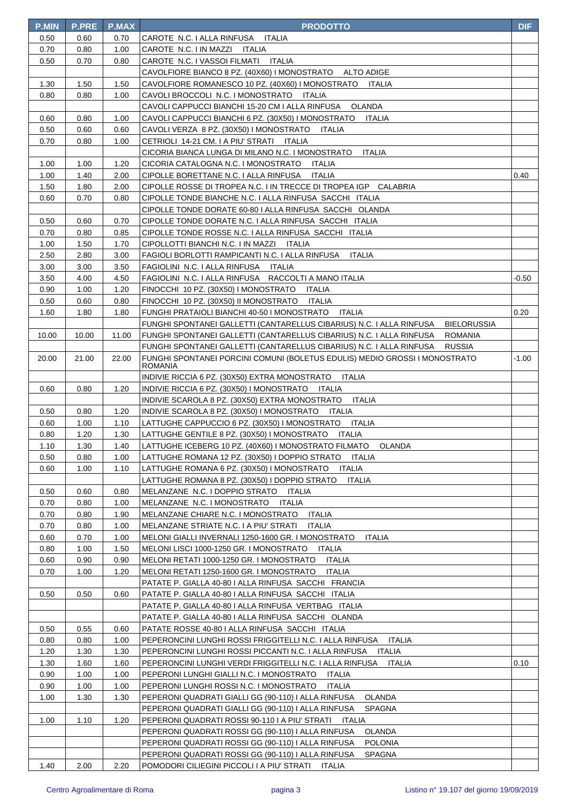| <b>P.MIN</b> | <b>P.PRE</b> | P.MAX        | <b>PRODOTTO</b>                                                                                                                           | <b>DIF</b> |
|--------------|--------------|--------------|-------------------------------------------------------------------------------------------------------------------------------------------|------------|
| 0.50         | 0.60         | 0.70         | CAROTE N.C. I ALLA RINFUSA ITALIA                                                                                                         |            |
| 0.70         | 0.80         | 1.00         | CAROTE N.C. I IN MAZZI ITALIA                                                                                                             |            |
| 0.50         | 0.70         | 0.80         | CAROTE N.C. I VASSOI FILMATI ITALIA                                                                                                       |            |
|              |              |              | CAVOLFIORE BIANCO 8 PZ. (40X60) I MONOSTRATO<br><b>ALTO ADIGE</b>                                                                         |            |
| 1.30         | 1.50         | 1.50         | CAVOLFIORE ROMANESCO 10 PZ. (40X60) I MONOSTRATO<br>ITALIA                                                                                |            |
| 0.80         | 0.80         | 1.00         | CAVOLI BROCCOLI N.C. I MONOSTRATO<br>ITALIA                                                                                               |            |
|              |              |              | CAVOLI CAPPUCCI BIANCHI 15-20 CM I ALLA RINFUSA<br><b>OLANDA</b>                                                                          |            |
| 0.60         | 0.80         | 1.00         | CAVOLI CAPPUCCI BIANCHI 6 PZ. (30X50) I MONOSTRATO<br><b>ITALIA</b>                                                                       |            |
| 0.50         | 0.60         | 0.60         | CAVOLI VERZA 8 PZ. (30X50) I MONOSTRATO<br>ITALIA                                                                                         |            |
| 0.70         | 0.80         | 1.00         | CETRIOLI 14-21 CM. I A PIU' STRATI ITALIA                                                                                                 |            |
|              |              |              | CICORIA BIANCA LUNGA DI MILANO N.C. I MONOSTRATO<br><b>ITALIA</b>                                                                         |            |
| 1.00         | 1.00         | 1.20         | CICORIA CATALOGNA N.C. I MONOSTRATO ITALIA                                                                                                |            |
| 1.00         | 1.40         | 2.00         | CIPOLLE BORETTANE N.C. I ALLA RINFUSA ITALIA                                                                                              | 0.40       |
| 1.50         | 1.80         | 2.00         | CIPOLLE ROSSE DI TROPEA N.C. I IN TRECCE DI TROPEA IGP CALABRIA                                                                           |            |
| 0.60         | 0.70         | 0.80         | CIPOLLE TONDE BIANCHE N.C. I ALLA RINFUSA SACCHI ITALIA                                                                                   |            |
|              |              |              | CIPOLLE TONDE DORATE 60-80 I ALLA RINFUSA SACCHI OLANDA                                                                                   |            |
| 0.50         | 0.60         | 0.70         | CIPOLLE TONDE DORATE N.C. I ALLA RINFUSA SACCHI ITALIA                                                                                    |            |
| 0.70         | 0.80         | 0.85         | CIPOLLE TONDE ROSSE N.C. I ALLA RINFUSA SACCHI ITALIA                                                                                     |            |
| 1.00         | 1.50         | 1.70         | CIPOLLOTTI BIANCHI N.C. I IN MAZZI ITALIA                                                                                                 |            |
| 2.50         | 2.80         | 3.00         | FAGIOLI BORLOTTI RAMPICANTI N.C. I ALLA RINFUSA<br>ITALIA                                                                                 |            |
| 3.00         | 3.00         | 3.50         | FAGIOLINI N.C. I ALLA RINFUSA ITALIA                                                                                                      |            |
| 3.50         | 4.00         | 4.50         | FAGIOLINI N.C. I ALLA RINFUSA RACCOLTI A MANO ITALIA                                                                                      | -0.50      |
| 0.90         | 1.00         | 1.20         | FINOCCHI 10 PZ. (30X50) I MONOSTRATO<br>ITALIA                                                                                            |            |
| 0.50<br>1.60 | 0.60<br>1.80 | 0.80<br>1.80 | FINOCCHI 10 PZ. (30X50) II MONOSTRATO<br>ITALIA<br>ITALIA                                                                                 |            |
|              |              |              | FUNGHI PRATAIOLI BIANCHI 40-50 I MONOSTRATO<br>FUNGHI SPONTANEI GALLETTI (CANTARELLUS CIBARIUS) N.C. I ALLA RINFUSA<br><b>BIELORUSSIA</b> | 0.20       |
| 10.00        | 10.00        | 11.00        | FUNGHI SPONTANEI GALLETTI (CANTARELLUS CIBARIUS) N.C. I ALLA RINFUSA<br><b>ROMANIA</b>                                                    |            |
|              |              |              | FUNGHI SPONTANEI GALLETTI (CANTARELLUS CIBARIUS) N.C. I ALLA RINFUSA<br>RUSSIA                                                            |            |
| 20.00        | 21.00        | 22.00        | FUNGHI SPONTANEI PORCINI COMUNI (BOLETUS EDULIS) MEDIO GROSSI I MONOSTRATO                                                                | $-1.00$    |
|              |              |              | <b>ROMANIA</b>                                                                                                                            |            |
|              |              |              | INDIVIE RICCIA 6 PZ. (30X50) EXTRA MONOSTRATO<br><b>ITALIA</b>                                                                            |            |
| 0.60         | 0.80         | 1.20         | INDIVIE RICCIA 6 PZ. (30X50) I MONOSTRATO<br>ITALIA                                                                                       |            |
|              |              |              | INDIVIE SCAROLA 8 PZ. (30X50) EXTRA MONOSTRATO<br><b>ITALIA</b>                                                                           |            |
| 0.50         | 0.80         | 1.20         | INDIVIE SCAROLA 8 PZ. (30X50) I MONOSTRATO<br><b>ITALIA</b>                                                                               |            |
| 0.60         | 1.00         | 1.10         | LATTUGHE CAPPUCCIO 6 PZ. (30X50) I MONOSTRATO<br><b>ITALIA</b>                                                                            |            |
| 0.80         | 1.20         | 1.30         | LATTUGHE GENTILE 8 PZ. (30X50) I MONOSTRATO<br><b>ITALIA</b>                                                                              |            |
| 1.10         | 1.30         | 1.40         | LATTUGHE ICEBERG 10 PZ. (40X60) I MONOSTRATO FILMATO OLANDA                                                                               |            |
| 0.50         | 0.80         | 1.00         | LATTUGHE ROMANA 12 PZ. (30X50) I DOPPIO STRATO ITALIA                                                                                     |            |
| 0.60         | 1.00         | 1.10         | LATTUGHE ROMANA 6 PZ. (30X50) I MONOSTRATO ITALIA                                                                                         |            |
|              |              |              | LATTUGHE ROMANA 8 PZ. (30X50) I DOPPIO STRATO<br><b>ITALIA</b>                                                                            |            |
| 0.50         | 0.60         | 0.80         | MELANZANE N.C. I DOPPIO STRATO ITALIA                                                                                                     |            |
| 0.70         | 0.80         | 1.00         | MELANZANE N.C. I MONOSTRATO ITALIA                                                                                                        |            |
| 0.70         | 0.80         | 1.90         | MELANZANE CHIARE N.C. I MONOSTRATO ITALIA                                                                                                 |            |
| 0.70         | 0.80         | 1.00         | MELANZANE STRIATE N.C. I A PIU' STRATI ITALIA                                                                                             |            |
| 0.60         | 0.70         | 1.00         | MELONI GIALLI INVERNALI 1250-1600 GR. I MONOSTRATO<br><b>ITALIA</b>                                                                       |            |
| 0.80<br>0.60 | 1.00<br>0.90 | 1.50         | MELONI LISCI 1000-1250 GR. I MONOSTRATO ITALIA<br>MELONI RETATI 1000-1250 GR. I MONOSTRATO<br><b>ITALIA</b>                               |            |
| 0.70         | 1.00         | 0.90<br>1.20 | MELONI RETATI 1250-1600 GR. I MONOSTRATO<br><b>ITALIA</b>                                                                                 |            |
|              |              |              | PATATE P. GIALLA 40-80 I ALLA RINFUSA SACCHI FRANCIA                                                                                      |            |
| 0.50         | 0.50         | 0.60         | PATATE P. GIALLA 40-80   ALLA RINFUSA SACCHI ITALIA                                                                                       |            |
|              |              |              | PATATE P. GIALLA 40-80 I ALLA RINFUSA VERTBAG ITALIA                                                                                      |            |
|              |              |              | PATATE P. GIALLA 40-80   ALLA RINFUSA SACCHI OLANDA                                                                                       |            |
| 0.50         | 0.55         | 0.60         | PATATE ROSSE 40-80   ALLA RINFUSA SACCHI ITALIA                                                                                           |            |
| 0.80         | 0.80         | 1.00         | PEPERONCINI LUNGHI ROSSI FRIGGITELLI N.C. I ALLA RINFUSA<br><b>ITALIA</b>                                                                 |            |
| 1.20         | 1.30         | 1.30         | PEPERONCINI LUNGHI ROSSI PICCANTI N.C. I ALLA RINFUSA ITALIA                                                                              |            |
| 1.30         | 1.60         | 1.60         | PEPERONCINI LUNGHI VERDI FRIGGITELLI N.C. I ALLA RINFUSA ITALIA                                                                           | 0.10       |
| 0.90         | 1.00         | 1.00         | PEPERONI LUNGHI GIALLI N.C. I MONOSTRATO<br>ITALIA                                                                                        |            |
| 0.90         | 1.00         | 1.00         | PEPERONI LUNGHI ROSSI N.C. I MONOSTRATO<br>ITALIA                                                                                         |            |
| 1.00         | 1.30         | 1.30         | PEPERONI QUADRATI GIALLI GG (90-110) I ALLA RINFUSA<br>OLANDA                                                                             |            |
|              |              |              | PEPERONI QUADRATI GIALLI GG (90-110) I ALLA RINFUSA<br><b>SPAGNA</b>                                                                      |            |
| 1.00         | 1.10         | 1.20         | PEPERONI QUADRATI ROSSI 90-110 I A PIU' STRATI ITALIA                                                                                     |            |
|              |              |              | PEPERONI QUADRATI ROSSI GG (90-110) I ALLA RINFUSA<br><b>OLANDA</b>                                                                       |            |
|              |              |              | PEPERONI QUADRATI ROSSI GG (90-110) I ALLA RINFUSA<br><b>POLONIA</b>                                                                      |            |
|              |              |              | PEPERONI QUADRATI ROSSI GG (90-110) I ALLA RINFUSA<br>SPAGNA                                                                              |            |
| 1.40         | 2.00         | 2.20         | POMODORI CILIEGINI PICCOLI I A PIU' STRATI ITALIA                                                                                         |            |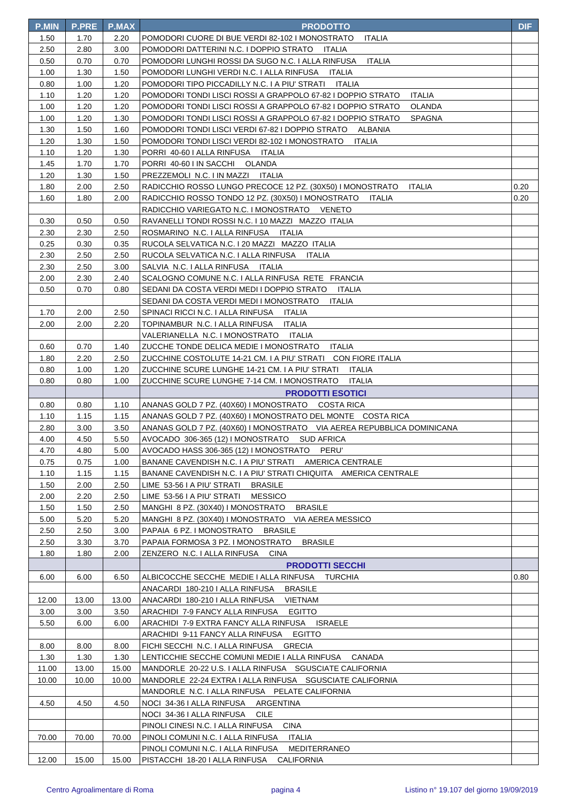| <b>P.MIN</b> | P.PRE        | <b>P.MAX</b> | <b>PRODOTTO</b>                                                                                                            | <b>DIF</b> |
|--------------|--------------|--------------|----------------------------------------------------------------------------------------------------------------------------|------------|
| 1.50         | 1.70         | 2.20         | POMODORI CUORE DI BUE VERDI 82-102 I MONOSTRATO<br><b>ITALIA</b>                                                           |            |
| 2.50         | 2.80         | 3.00         | POMODORI DATTERINI N.C. I DOPPIO STRATO ITALIA                                                                             |            |
| 0.50         | 0.70         | 0.70         | POMODORI LUNGHI ROSSI DA SUGO N.C. I ALLA RINFUSA<br>ITALIA                                                                |            |
| 1.00         | 1.30         | 1.50         | POMODORI LUNGHI VERDI N.C. I ALLA RINFUSA ITALIA                                                                           |            |
| 0.80         | 1.00         | 1.20         | POMODORI TIPO PICCADILLY N.C. I A PIU' STRATI ITALIA                                                                       |            |
| 1.10         | 1.20         | 1.20         | POMODORI TONDI LISCI ROSSI A GRAPPOLO 67-82 I DOPPIO STRATO<br>ITALIA                                                      |            |
| 1.00         | 1.20         | 1.20         | <b>OLANDA</b><br>POMODORI TONDI LISCI ROSSI A GRAPPOLO 67-82 I DOPPIO STRATO                                               |            |
| 1.00         | 1.20         | 1.30         | POMODORI TONDI LISCI ROSSI A GRAPPOLO 67-82 I DOPPIO STRATO<br>SPAGNA                                                      |            |
| 1.30         | 1.50         | 1.60         | POMODORI TONDI LISCI VERDI 67-82 I DOPPIO STRATO ALBANIA                                                                   |            |
| 1.20         | 1.30         | 1.50         | POMODORI TONDI LISCI VERDI 82-102 I MONOSTRATO<br><b>ITALIA</b>                                                            |            |
| 1.10         | 1.20         | 1.30         | PORRI 40-60   ALLA RINFUSA   ITALIA                                                                                        |            |
| 1.45         | 1.70         | 1.70         | PORRI 40-60 I IN SACCHI OLANDA                                                                                             |            |
| 1.20         | 1.30         | 1.50         | PREZZEMOLI N.C. I IN MAZZI ITALIA                                                                                          |            |
| 1.80         | 2.00         | 2.50         | RADICCHIO ROSSO LUNGO PRECOCE 12 PZ. (30X50) I MONOSTRATO<br>ITALIA                                                        | 0.20       |
| 1.60         | 1.80         | 2.00         | RADICCHIO ROSSO TONDO 12 PZ. (30X50) I MONOSTRATO ITALIA                                                                   | 0.20       |
|              |              |              | RADICCHIO VARIEGATO N.C. I MONOSTRATO VENETO                                                                               |            |
| 0.30         | 0.50         | 0.50         | RAVANELLI TONDI ROSSI N.C. I 10 MAZZI MAZZO ITALIA                                                                         |            |
| 2.30         | 2.30         | 2.50         | ROSMARINO N.C. I ALLA RINFUSA ITALIA                                                                                       |            |
| 0.25         | 0.30         | 0.35         | RUCOLA SELVATICA N.C. I 20 MAZZI MAZZO ITALIA                                                                              |            |
| 2.30         | 2.50         | 2.50         | RUCOLA SELVATICA N.C. I ALLA RINFUSA<br>ITALIA                                                                             |            |
| 2.30         | 2.50         | 3.00         | SALVIA N.C. I ALLA RINFUSA ITALIA                                                                                          |            |
| 2.00         | 2.30         | 2.40         | SCALOGNO COMUNE N.C. I ALLA RINFUSA RETE FRANCIA                                                                           |            |
| 0.50         | 0.70         | 0.80         | SEDANI DA COSTA VERDI MEDI I DOPPIO STRATO ITALIA                                                                          |            |
|              |              |              | SEDANI DA COSTA VERDI MEDI I MONOSTRATO ITALIA                                                                             |            |
| 1.70         | 2.00         | 2.50         | SPINACI RICCI N.C. I ALLA RINFUSA ITALIA                                                                                   |            |
| 2.00         | 2.00         | 2.20         | TOPINAMBUR N.C. I ALLA RINFUSA ITALIA                                                                                      |            |
|              |              |              | VALERIANELLA N.C. I MONOSTRATO ITALIA                                                                                      |            |
| 0.60         | 0.70         | 1.40         | ZUCCHE TONDE DELICA MEDIE I MONOSTRATO<br>ITALIA                                                                           |            |
| 1.80         | 2.20         | 2.50         | ZUCCHINE COSTOLUTE 14-21 CM. I A PIU' STRATI CON FIORE ITALIA                                                              |            |
| 0.80         | 1.00         | 1.20         | ZUCCHINE SCURE LUNGHE 14-21 CM. I A PIU' STRATI ITALIA                                                                     |            |
| 0.80         | 0.80         | 1.00         | ZUCCHINE SCURE LUNGHE 7-14 CM. I MONOSTRATO<br>ITALIA                                                                      |            |
|              |              |              | <b>PRODOTTI ESOTICI</b>                                                                                                    |            |
| 0.80         | 0.80         | 1.10         | ANANAS GOLD 7 PZ. (40X60) I MONOSTRATO COSTA RICA                                                                          |            |
| 1.10<br>2.80 | 1.15<br>3.00 | 1.15<br>3.50 | ANANAS GOLD 7 PZ. (40X60) I MONOSTRATO DEL MONTE COSTA RICA                                                                |            |
| 4.00         | 4.50         | 5.50         | ANANAS GOLD 7 PZ. (40X60) I MONOSTRATO     VIA AEREA REPUBBLICA DOMINICANA<br>AVOCADO 306-365 (12) I MONOSTRATO SUD AFRICA |            |
| 4.70         | 4.80         | 5.00         | AVOCADO HASS 306-365 (12) I MONOSTRATO PERU'                                                                               |            |
| 0.75         | 0.75         | 1.00         | BANANE CAVENDISH N.C. I A PIU' STRATI AMERICA CENTRALE                                                                     |            |
| 1.10         | 1.15         | 1.15         | BANANE CAVENDISH N.C. I A PIU' STRATI CHIQUITA AMERICA CENTRALE                                                            |            |
| 1.50         | 2.00         | 2.50         | LIME 53-56 I A PIU' STRATI<br><b>BRASILE</b>                                                                               |            |
| 2.00         | 2.20         | 2.50         | LIME 53-56 I A PIU' STRATI<br><b>MESSICO</b>                                                                               |            |
| 1.50         | 1.50         | 2.50         | MANGHI 8 PZ. (30X40) I MONOSTRATO<br><b>BRASILE</b>                                                                        |            |
| 5.00         | 5.20         | 5.20         | MANGHI 8 PZ. (30X40) I MONOSTRATO VIA AEREA MESSICO                                                                        |            |
| 2.50         | 2.50         | 3.00         | PAPAIA 6 PZ. I MONOSTRATO<br><b>BRASILE</b>                                                                                |            |
| 2.50         | 3.30         | 3.70         | PAPAIA FORMOSA 3 PZ. I MONOSTRATO<br><b>BRASILE</b>                                                                        |            |
| 1.80         | 1.80         | 2.00         | ZENZERO N.C. I ALLA RINFUSA<br><b>CINA</b>                                                                                 |            |
|              |              |              | <b>PRODOTTI SECCHI</b>                                                                                                     |            |
| 6.00         | 6.00         | 6.50         | ALBICOCCHE SECCHE MEDIE I ALLA RINFUSA TURCHIA                                                                             | 0.80       |
|              |              |              | ANACARDI 180-210 I ALLA RINFUSA<br><b>BRASILE</b>                                                                          |            |
| 12.00        | 13.00        | 13.00        | <b>VIETNAM</b><br>ANACARDI 180-210 I ALLA RINFUSA                                                                          |            |
| 3.00         | 3.00         | 3.50         | ARACHIDI 7-9 FANCY ALLA RINFUSA<br><b>EGITTO</b>                                                                           |            |
| 5.50         | 6.00         | 6.00         | ARACHIDI 7-9 EXTRA FANCY ALLA RINFUSA ISRAELE                                                                              |            |
|              |              |              | ARACHIDI 9-11 FANCY ALLA RINFUSA<br><b>EGITTO</b>                                                                          |            |
| 8.00         | 8.00         | 8.00         | FICHI SECCHI N.C. I ALLA RINFUSA GRECIA                                                                                    |            |
| 1.30         | 1.30         | 1.30         | LENTICCHIE SECCHE COMUNI MEDIE I ALLA RINFUSA<br>CANADA                                                                    |            |
| 11.00        | 13.00        | 15.00        | MANDORLE 20-22 U.S. I ALLA RINFUSA SGUSCIATE CALIFORNIA                                                                    |            |
| 10.00        | 10.00        | 10.00        | MANDORLE 22-24 EXTRA I ALLA RINFUSA SGUSCIATE CALIFORNIA                                                                   |            |
|              |              |              | MANDORLE N.C. I ALLA RINFUSA PELATE CALIFORNIA                                                                             |            |
| 4.50         | 4.50         | 4.50         | NOCI 34-36   ALLA RINFUSA ARGENTINA                                                                                        |            |
|              |              |              | NOCI 34-36 I ALLA RINFUSA<br>CILE                                                                                          |            |
|              |              |              | PINOLI CINESI N.C. I ALLA RINFUSA<br><b>CINA</b>                                                                           |            |
| 70.00        | 70.00        | 70.00        | PINOLI COMUNI N.C. I ALLA RINFUSA<br>ITALIA                                                                                |            |
|              |              |              | PINOLI COMUNI N.C. I ALLA RINFUSA<br><b>MEDITERRANEO</b>                                                                   |            |
| 12.00        | 15.00        | 15.00        | PISTACCHI 18-20 I ALLA RINFUSA CALIFORNIA                                                                                  |            |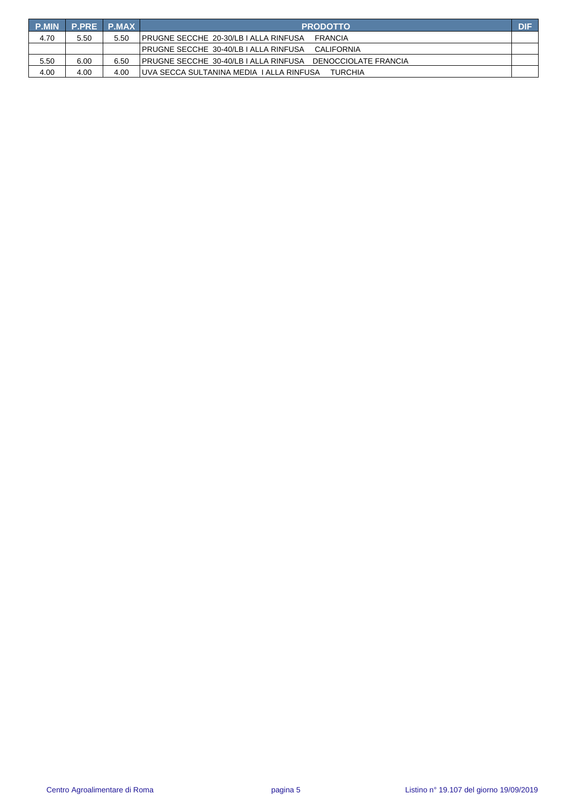| <b>P.MIN</b> | P.PRE P.MAX |      | <b>PRODOTTO</b>                                               | <b>DIF</b> |
|--------------|-------------|------|---------------------------------------------------------------|------------|
| 4.70         | 5.50        | 5.50 | IPRUGNE SECCHE 20-30/LB I ALLA RINFUSA<br>FRANCIA             |            |
|              |             |      | IPRUGNE SECCHE 30-40/LB I ALLA RINFUSA<br>CALIFORNIA          |            |
| 5.50         | 6.00        | 6.50 | IPRUGNE SECCHE_30-40/LB I ALLA RINFUSA _ DENOCCIOLATE FRANCIA |            |
| 4.00         | 4.00        | 4.00 | IUVA SECCA SULTANINA MEDIA I ALLA RINFUSA<br><b>TURCHIA</b>   |            |